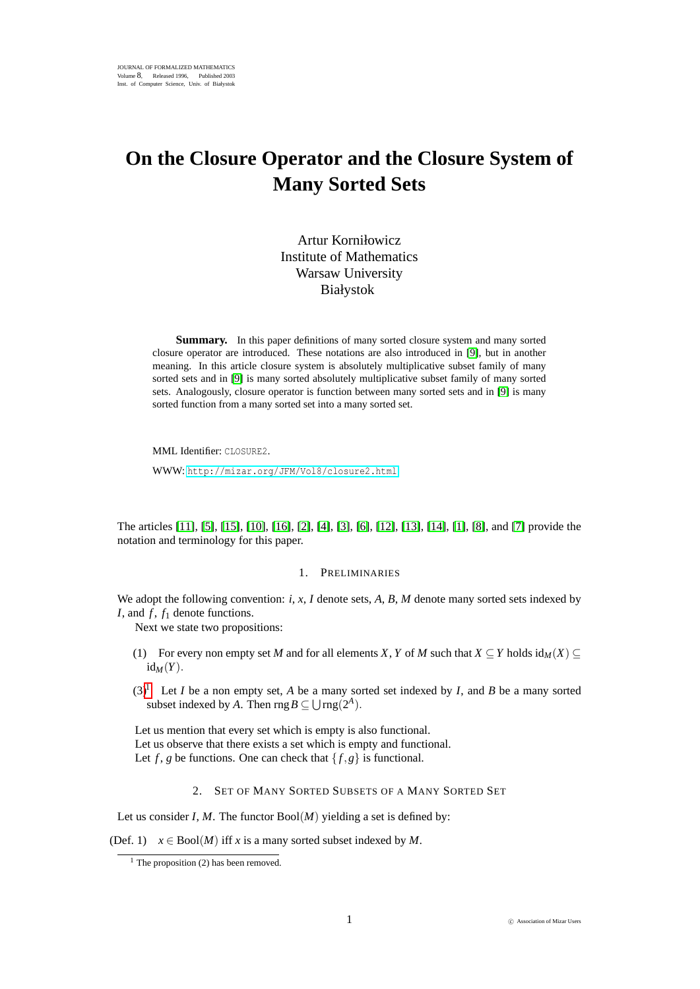# **On the Closure Operator and the Closure System of Many Sorted Sets**

Artur Korniłowicz Institute of Mathematics Warsaw University Białystok

**Summary.** In this paper definitions of many sorted closure system and many sorted closure operator are introduced. These notations are also introduced in [\[9\]](#page-6-0), but in another meaning. In this article closure system is absolutely multiplicative subset family of many sorted sets and in [\[9\]](#page-6-0) is many sorted absolutely multiplicative subset family of many sorted sets. Analogously, closure operator is function between many sorted sets and in [\[9\]](#page-6-0) is many sorted function from a many sorted set into a many sorted set.

MML Identifier: CLOSURE2.

WWW: <http://mizar.org/JFM/Vol8/closure2.html>

The articles [\[11\]](#page-6-1), [\[5\]](#page-6-2), [\[15\]](#page-6-3), [\[10\]](#page-6-4), [\[16\]](#page-7-0), [\[2\]](#page-6-5), [\[4\]](#page-6-6), [\[3\]](#page-6-7), [\[6\]](#page-6-8), [\[12\]](#page-6-9), [\[13\]](#page-6-10), [\[14\]](#page-6-11), [\[1\]](#page-6-12), [\[8\]](#page-6-13), and [\[7\]](#page-6-14) provide the notation and terminology for this paper.

#### 1. PRELIMINARIES

We adopt the following convention: *i*, *x*, *I* denote sets, *A*, *B*, *M* denote many sorted sets indexed by *I*, and *f*, *f*<sub>1</sub> denote functions.

Next we state two propositions:

- (1) For every non empty set *M* and for all elements *X*, *Y* of *M* such that  $X \subseteq Y$  holds id $_M(X) \subseteq$  $id_M(Y)$ .
- $(3)^1$  $(3)^1$  Let *I* be a non empty set, *A* be a many sorted set indexed by *I*, and *B* be a many sorted subset indexed by *A*. Then  $\text{rng }B \subseteq \bigcup \text{rng}(2^A)$ .

Let us mention that every set which is empty is also functional. Let us observe that there exists a set which is empty and functional. Let *f*, *g* be functions. One can check that  $\{f, g\}$  is functional.

2. SET OF MANY SORTED SUBSETS OF A MANY SORTED SET

Let us consider *I*, *M*. The functor  $Bool(M)$  yielding a set is defined by:

(Def. 1)  $x \in \text{Bool}(M)$  iff *x* is a many sorted subset indexed by *M*.

<span id="page-0-0"></span> $<sup>1</sup>$  The proposition (2) has been removed.</sup>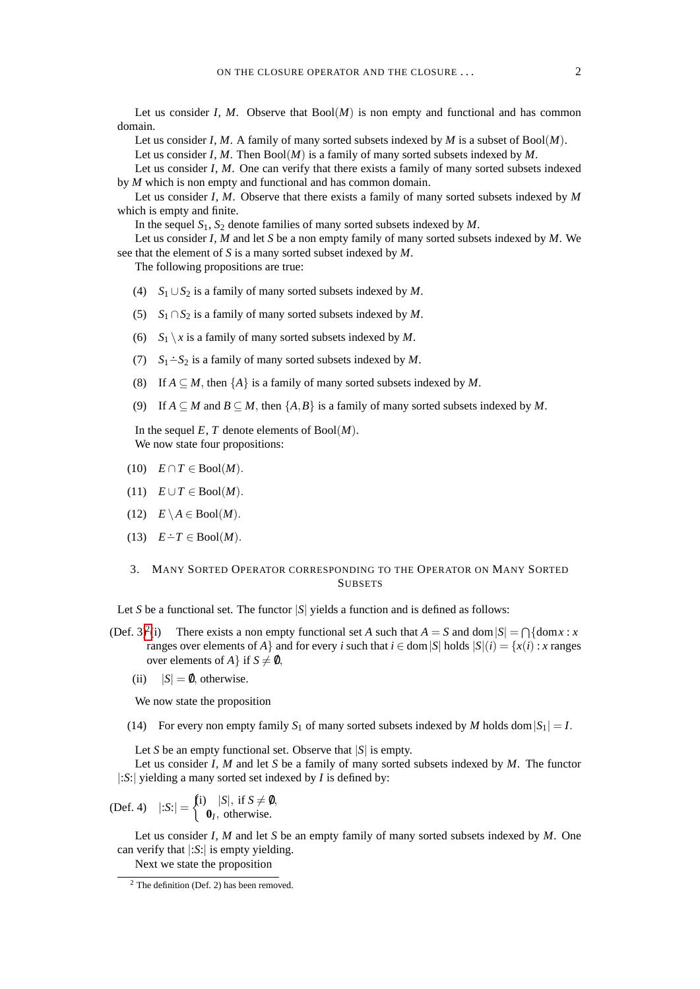Let us consider *I*, *M*. Observe that  $Bool(M)$  is non empty and functional and has common domain.

Let us consider *I*, *M*. A family of many sorted subsets indexed by *M* is a subset of Bool(*M*).

Let us consider *I*, *M*. Then Bool(*M*) is a family of many sorted subsets indexed by *M*.

Let us consider *I*, *M*. One can verify that there exists a family of many sorted subsets indexed by *M* which is non empty and functional and has common domain.

Let us consider *I*, *M*. Observe that there exists a family of many sorted subsets indexed by *M* which is empty and finite.

In the sequel  $S_1$ ,  $S_2$  denote families of many sorted subsets indexed by  $M$ .

Let us consider *I*, *M* and let *S* be a non empty family of many sorted subsets indexed by *M*. We see that the element of *S* is a many sorted subset indexed by *M*.

The following propositions are true:

- (4) *S*<sup>1</sup> ∪*S*<sup>2</sup> is a family of many sorted subsets indexed by *M*.
- (5) *S*<sup>1</sup> ∩*S*<sup>2</sup> is a family of many sorted subsets indexed by *M*.
- (6)  $S_1 \setminus x$  is a family of many sorted subsets indexed by *M*.
- (7)  $S_1 \div S_2$  is a family of many sorted subsets indexed by *M*.
- (8) If  $A \subseteq M$ , then  $\{A\}$  is a family of many sorted subsets indexed by M.
- (9) If  $A \subseteq M$  and  $B \subseteq M$ , then  $\{A, B\}$  is a family of many sorted subsets indexed by M.

In the sequel  $E, T$  denote elements of  $Bool(M)$ . We now state four propositions:

- $(10)$   $E \cap T \in \text{Bool}(M)$ .
- $(11)$   $E \cup T \in \text{Bool}(M)$ .
- $(12)$   $E \setminus A \in \text{Bool}(M)$ .
- (13)  $E \text{·} T \in \text{Bool}(M)$ .

### 3. MANY SORTED OPERATOR CORRESPONDING TO THE OPERATOR ON MANY SORTED **SUBSETS**

Let *S* be a functional set. The functor  $|S|$  yields a function and is defined as follows:

- $(Def. 3)<sup>2</sup>(i)$  $(Def. 3)<sup>2</sup>(i)$  $(Def. 3)<sup>2</sup>(i)$ (i) There exists a non empty functional set *A* such that  $A = S$  and dom  $|S| = \bigcap \{ \text{dom } x : x \in S \}$ ranges over elements of *A*} and for every *i* such that  $i \in \text{dom}|S|$  holds  $|S|(i) = \{x(i) : x \text{ ranges}$ over elements of *A* } if  $S \neq \emptyset$ ,
	- (ii)  $|S| = 0$ , otherwise.

We now state the proposition

(14) For every non empty family  $S_1$  of many sorted subsets indexed by *M* holds dom  $|S_1| = I$ .

Let *S* be an empty functional set. Observe that  $|S|$  is empty.

Let us consider *I*, *M* and let *S* be a family of many sorted subsets indexed by *M*. The functor |:*S*:| yielding a many sorted set indexed by *I* is defined by:

(Def. 4)  $|:S:| = \begin{cases} 1 & |S|, \text{ if } S \neq \emptyset, \\ 0 & \text{ otherwise.} \end{cases}$ **0***I* , otherwise.

Let us consider *I*, *M* and let *S* be an empty family of many sorted subsets indexed by *M*. One can verify that |:*S*:| is empty yielding.

Next we state the proposition

<span id="page-1-0"></span><sup>2</sup> The definition (Def. 2) has been removed.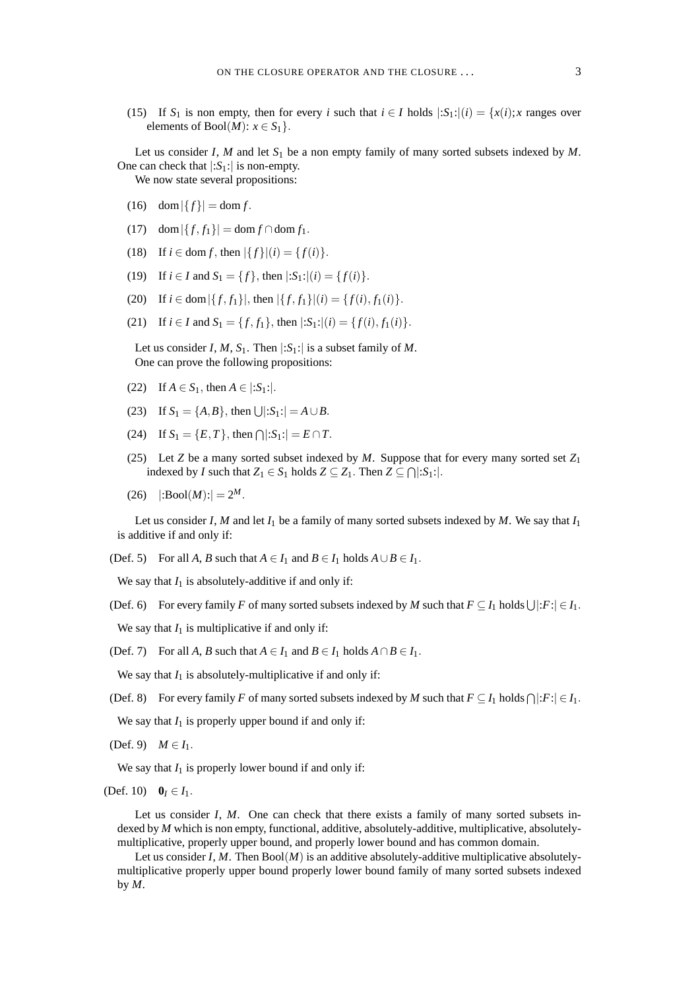(15) If  $S_1$  is non empty, then for every *i* such that  $i \in I$  holds  $|:S_1:|(i) = \{x(i); x \text{ ranges over } i\}$ elements of  $Bool(M): x \in S_1$ .

Let us consider *I*, *M* and let  $S_1$  be a non empty family of many sorted subsets indexed by *M*. One can check that  $|:S_1:|$  is non-empty.

We now state several propositions:

- (16) dom  $|\{f\}| = \text{dom } f$ .
- (17) dom  $|\{f, f_1\}| = \text{dom } f \cap \text{dom } f_1$ .
- (18) If  $i \in \text{dom } f$ , then  $|\{f\}|(i) = \{f(i)\}.$
- (19) If  $i \in I$  and  $S_1 = \{f\}$ , then  $|S_1:|(i) = \{f(i)\}.$
- (20) If  $i \in \text{dom} |\{f, f_1\}|$ , then  $|\{f, f_1\}|(i) = \{f(i), f_1(i)\}.$
- (21) If  $i \in I$  and  $S_1 = \{f, f_1\}$ , then  $|:S_1:|(i) = \{f(i), f_1(i)\}.$

Let us consider *I*, *M*, *S*<sub>1</sub>. Then  $|:S_1:|$  is a subset family of *M*. One can prove the following propositions:

- (22) If  $A \in S_1$ , then  $A \in |S_1|$ .
- (23) If  $S_1 = \{A, B\}$ , then  $\bigcup |S_1| = A \cup B$ .
- (24) If  $S_1 = \{E, T\}$ , then  $\bigcap |S_1| = E \cap T$ .
- (25) Let *Z* be a many sorted subset indexed by *M*. Suppose that for every many sorted set  $Z_1$ indexed by *I* such that  $Z_1 \in S_1$  holds  $Z \subseteq Z_1$ . Then  $Z \subseteq \bigcap |S_1|$ :
- $(26)$   $|\: : \text{Bool}(M) : | = 2^M.$

Let us consider *I*, *M* and let  $I_1$  be a family of many sorted subsets indexed by *M*. We say that  $I_1$ is additive if and only if:

(Def. 5) For all *A*, *B* such that  $A \in I_1$  and  $B \in I_1$  holds  $A \cup B \in I_1$ .

We say that  $I_1$  is absolutely-additive if and only if:

(Def. 6) For every family *F* of many sorted subsets indexed by *M* such that  $F \subseteq I_1$  holds  $\bigcup |F| \in I_1$ .

We say that  $I_1$  is multiplicative if and only if:

(Def. 7) For all *A*, *B* such that  $A \in I_1$  and  $B \in I_1$  holds  $A \cap B \in I_1$ .

We say that  $I_1$  is absolutely-multiplicative if and only if:

(Def. 8) For every family *F* of many sorted subsets indexed by *M* such that  $F \subseteq I_1$  holds  $\bigcap |F| \in I_1$ .

We say that  $I_1$  is properly upper bound if and only if:

(Def. 9) *M* ∈ *I*<sub>1</sub>.

We say that  $I_1$  is properly lower bound if and only if:

(Def. 10)  $0_I \in I_1$ .

Let us consider *I*, *M*. One can check that there exists a family of many sorted subsets indexed by *M* which is non empty, functional, additive, absolutely-additive, multiplicative, absolutelymultiplicative, properly upper bound, and properly lower bound and has common domain.

Let us consider *I*, *M*. Then  $Bool(M)$  is an additive absolutely-additive multiplicative absolutelymultiplicative properly upper bound properly lower bound family of many sorted subsets indexed by *M*.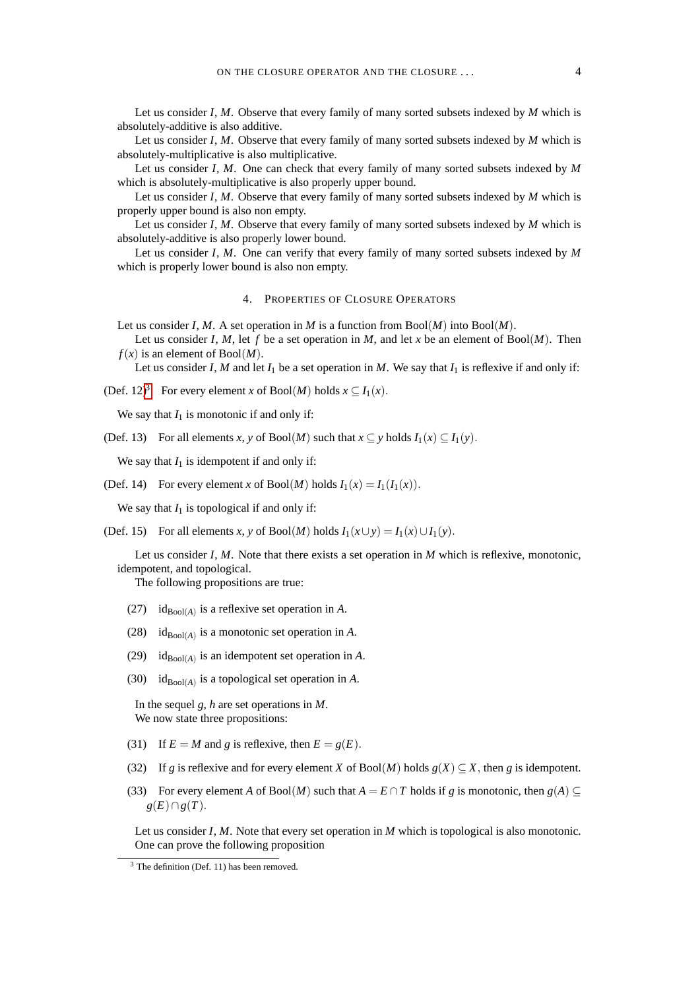Let us consider *I*, *M*. Observe that every family of many sorted subsets indexed by *M* which is absolutely-additive is also additive.

Let us consider *I*, *M*. Observe that every family of many sorted subsets indexed by *M* which is absolutely-multiplicative is also multiplicative.

Let us consider *I*, *M*. One can check that every family of many sorted subsets indexed by *M* which is absolutely-multiplicative is also properly upper bound.

Let us consider *I*, *M*. Observe that every family of many sorted subsets indexed by *M* which is properly upper bound is also non empty.

Let us consider *I*, *M*. Observe that every family of many sorted subsets indexed by *M* which is absolutely-additive is also properly lower bound.

Let us consider *I*, *M*. One can verify that every family of many sorted subsets indexed by *M* which is properly lower bound is also non empty.

#### 4. PROPERTIES OF CLOSURE OPERATORS

Let us consider *I*, *M*. A set operation in *M* is a function from  $Bool(M)$  into  $Bool(M)$ .

Let us consider *I*, *M*, let *f* be a set operation in *M*, and let *x* be an element of  $Bool(M)$ . Then  $f(x)$  is an element of Bool $(M)$ .

Let us consider *I*, *M* and let  $I_1$  be a set operation in *M*. We say that  $I_1$  is reflexive if and only if:

(Def. 12)<sup>[3](#page-3-0)</sup> For every element *x* of Bool(*M*) holds  $x \subseteq I_1(x)$ .

We say that  $I_1$  is monotonic if and only if:

(Def. 13) For all elements *x*, *y* of Bool(*M*) such that  $x \subseteq y$  holds  $I_1(x) \subseteq I_1(y)$ .

We say that  $I_1$  is idempotent if and only if:

(Def. 14) For every element *x* of Bool(*M*) holds  $I_1(x) = I_1(I_1(x))$ .

We say that  $I_1$  is topological if and only if:

(Def. 15) For all elements *x*, *y* of Bool(*M*) holds  $I_1(x \cup y) = I_1(x) \cup I_1(y)$ .

Let us consider *I*, *M*. Note that there exists a set operation in *M* which is reflexive, monotonic, idempotent, and topological.

The following propositions are true:

- (27) id<sub>Bool</sub>(*A*) is a reflexive set operation in *A*.
- (28) id $_{\text{Bool}(A)}$  is a monotonic set operation in *A*.
- (29)  $id_{Bool(A)}$  is an idempotent set operation in *A*.
- (30) id $_{\text{Bool}(A)}$  is a topological set operation in *A*.

In the sequel *g*, *h* are set operations in *M*. We now state three propositions:

- (31) If  $E = M$  and *g* is reflexive, then  $E = g(E)$ .
- (32) If *g* is reflexive and for every element *X* of Bool(*M*) holds  $g(X) \subseteq X$ , then *g* is idempotent.
- (33) For every element *A* of Bool(*M*) such that  $A = E \cap T$  holds if *g* is monotonic, then  $g(A) \subseteq$ *g*(*E*)∩*g*(*T*).

Let us consider *I*, *M*. Note that every set operation in *M* which is topological is also monotonic. One can prove the following proposition

<span id="page-3-0"></span> $3$  The definition (Def. 11) has been removed.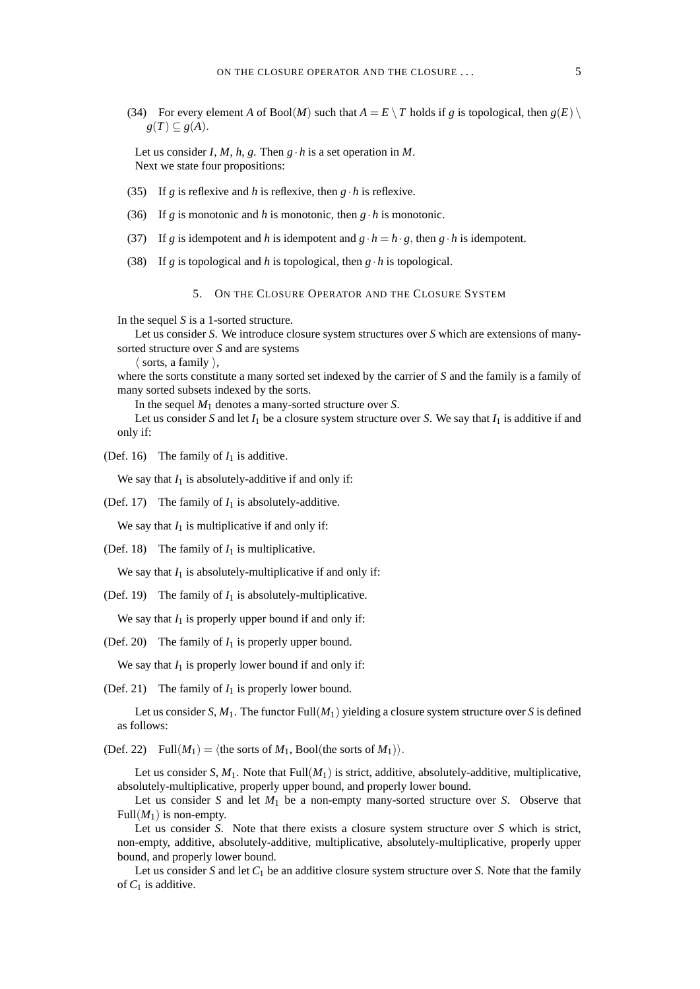(34) For every element *A* of Bool(*M*) such that  $A = E \setminus T$  holds if *g* is topological, then  $g(E) \setminus T$  $g(T) \subseteq g(A)$ .

Let us consider *I*, *M*, *h*, *g*. Then  $g \cdot h$  is a set operation in *M*. Next we state four propositions:

- (35) If *g* is reflexive and *h* is reflexive, then  $g \cdot h$  is reflexive.
- (36) If *g* is monotonic and *h* is monotonic, then  $g \cdot h$  is monotonic.
- (37) If *g* is idempotent and *h* is idempotent and  $g \cdot h = h \cdot g$ , then  $g \cdot h$  is idempotent.
- (38) If *g* is topological and *h* is topological, then  $g \cdot h$  is topological.

## 5. ON THE CLOSURE OPERATOR AND THE CLOSURE SYSTEM

In the sequel *S* is a 1-sorted structure.

Let us consider *S*. We introduce closure system structures over *S* which are extensions of manysorted structure over *S* and are systems

 $\langle$  sorts, a family  $\rangle$ ,

where the sorts constitute a many sorted set indexed by the carrier of *S* and the family is a family of many sorted subsets indexed by the sorts.

In the sequel *M*<sup>1</sup> denotes a many-sorted structure over *S*.

Let us consider *S* and let  $I_1$  be a closure system structure over *S*. We say that  $I_1$  is additive if and only if:

(Def. 16) The family of  $I_1$  is additive.

We say that  $I_1$  is absolutely-additive if and only if:

(Def. 17) The family of  $I_1$  is absolutely-additive.

We say that  $I_1$  is multiplicative if and only if:

(Def. 18) The family of  $I_1$  is multiplicative.

We say that  $I_1$  is absolutely-multiplicative if and only if:

(Def. 19) The family of  $I_1$  is absolutely-multiplicative.

We say that  $I_1$  is properly upper bound if and only if:

(Def. 20) The family of  $I_1$  is properly upper bound.

We say that  $I_1$  is properly lower bound if and only if:

(Def. 21) The family of  $I_1$  is properly lower bound.

Let us consider *S*,  $M_1$ . The functor Full( $M_1$ ) yielding a closure system structure over *S* is defined as follows:

(Def. 22) Full $(M_1) = \langle$  the sorts of  $M_1$ , Bool(the sorts of  $M_1$ )).

Let us consider  $S, M_1$ . Note that  $Full(M_1)$  is strict, additive, absolutely-additive, multiplicative, absolutely-multiplicative, properly upper bound, and properly lower bound.

Let us consider *S* and let  $M_1$  be a non-empty many-sorted structure over *S*. Observe that Full $(M_1)$  is non-empty.

Let us consider *S*. Note that there exists a closure system structure over *S* which is strict, non-empty, additive, absolutely-additive, multiplicative, absolutely-multiplicative, properly upper bound, and properly lower bound.

Let us consider *S* and let  $C_1$  be an additive closure system structure over *S*. Note that the family of  $C_1$  is additive.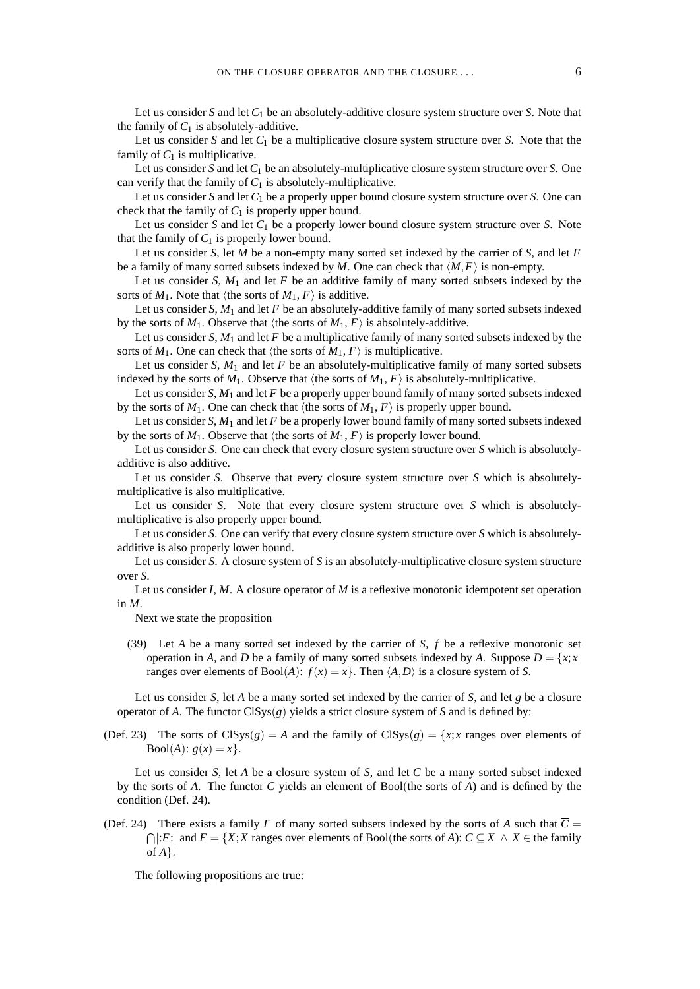Let us consider *S* and let *C*<sup>1</sup> be an absolutely-additive closure system structure over *S*. Note that the family of  $C_1$  is absolutely-additive.

Let us consider *S* and let  $C_1$  be a multiplicative closure system structure over *S*. Note that the family of  $C_1$  is multiplicative.

Let us consider *S* and let *C*<sup>1</sup> be an absolutely-multiplicative closure system structure over *S*. One can verify that the family of  $C_1$  is absolutely-multiplicative.

Let us consider *S* and let *C*<sup>1</sup> be a properly upper bound closure system structure over *S*. One can check that the family of  $C_1$  is properly upper bound.

Let us consider  $S$  and let  $C_1$  be a properly lower bound closure system structure over  $S$ . Note that the family of  $C_1$  is properly lower bound.

Let us consider *S*, let *M* be a non-empty many sorted set indexed by the carrier of *S*, and let *F* be a family of many sorted subsets indexed by *M*. One can check that  $\langle M, F \rangle$  is non-empty.

Let us consider *S*,  $M_1$  and let *F* be an additive family of many sorted subsets indexed by the sorts of  $M_1$ . Note that  $\langle$  the sorts of  $M_1, F \rangle$  is additive.

Let us consider *S*,  $M_1$  and let *F* be an absolutely-additive family of many sorted subsets indexed by the sorts of  $M_1$ . Observe that (the sorts of  $M_1$ ,  $F$ ) is absolutely-additive.

Let us consider *S*, *M*<sup>1</sup> and let *F* be a multiplicative family of many sorted subsets indexed by the sorts of  $M_1$ . One can check that  $\langle$ the sorts of  $M_1, F \rangle$  is multiplicative.

Let us consider *S*,  $M_1$  and let *F* be an absolutely-multiplicative family of many sorted subsets indexed by the sorts of  $M_1$ . Observe that  $\langle$  the sorts of  $M_1$ ,  $F\rangle$  is absolutely-multiplicative.

Let us consider *S*, *M*<sup>1</sup> and let *F* be a properly upper bound family of many sorted subsets indexed by the sorts of  $M_1$ . One can check that (the sorts of  $M_1$ ,  $F$ ) is properly upper bound.

Let us consider *S*, *M*<sup>1</sup> and let *F* be a properly lower bound family of many sorted subsets indexed by the sorts of  $M_1$ . Observe that (the sorts of  $M_1$ ,  $F$ ) is properly lower bound.

Let us consider *S*. One can check that every closure system structure over *S* which is absolutelyadditive is also additive.

Let us consider *S*. Observe that every closure system structure over *S* which is absolutelymultiplicative is also multiplicative.

Let us consider *S*. Note that every closure system structure over *S* which is absolutelymultiplicative is also properly upper bound.

Let us consider *S*. One can verify that every closure system structure over *S* which is absolutelyadditive is also properly lower bound.

Let us consider *S*. A closure system of *S* is an absolutely-multiplicative closure system structure over *S*.

Let us consider *I*, *M*. A closure operator of *M* is a reflexive monotonic idempotent set operation in *M*.

Next we state the proposition

(39) Let *A* be a many sorted set indexed by the carrier of *S*, *f* be a reflexive monotonic set operation in *A*, and *D* be a family of many sorted subsets indexed by *A*. Suppose  $D = \{x, x\}$ ranges over elements of Bool(*A*):  $f(x) = x$ . Then  $\langle A, D \rangle$  is a closure system of *S*.

Let us consider *S*, let *A* be a many sorted set indexed by the carrier of *S*, and let *g* be a closure operator of *A*. The functor  $\text{CISys}(g)$  yields a strict closure system of *S* and is defined by:

(Def. 23) The sorts of  $\text{CISys}(g) = A$  and the family of  $\text{CISys}(g) = \{x, x \text{ ranges over elements of } \}$  $Bool(A): g(x) = x$ .

Let us consider *S*, let *A* be a closure system of *S*, and let *C* be a many sorted subset indexed by the sorts of *A*. The functor  $\overline{C}$  yields an element of Bool(the sorts of *A*) and is defined by the condition (Def. 24).

(Def. 24) There exists a family *F* of many sorted subsets indexed by the sorts of *A* such that  $\overline{C}$  =  $\bigcap$ |:*F*:| and *F* = {*X*;*X* ranges over elements of Bool(the sorts of *A*): *C* ⊆ *X* ∧ *X* ∈ the family of *A*}.

The following propositions are true: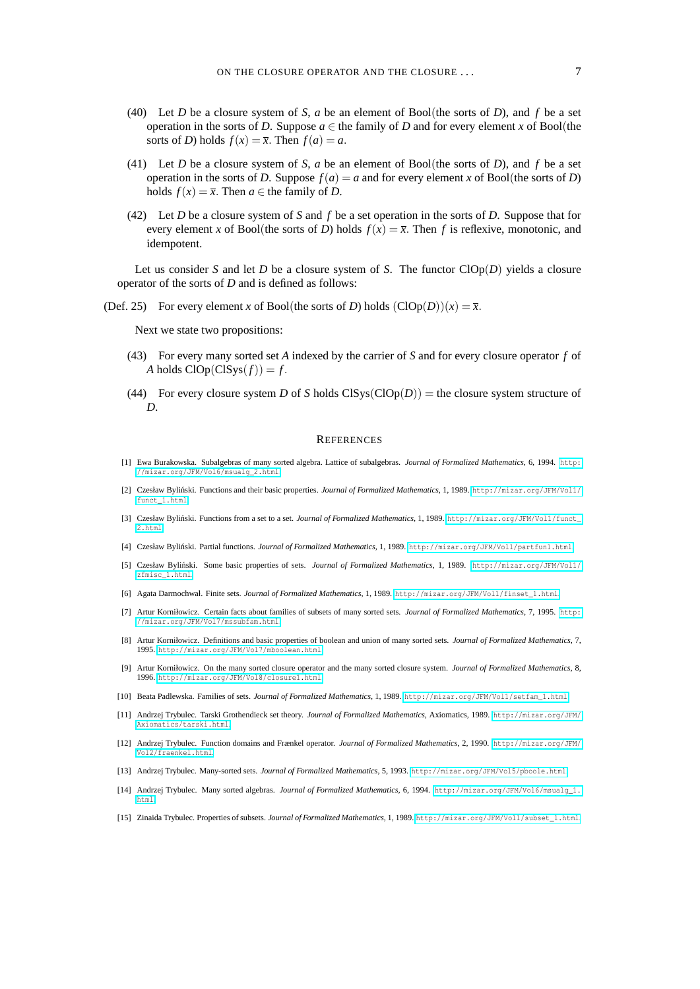- (40) Let *D* be a closure system of *S*, *a* be an element of Bool(the sorts of *D*), and *f* be a set operation in the sorts of *D*. Suppose  $a \in$  the family of *D* and for every element *x* of Bool(the sorts of *D*) holds  $f(x) = \overline{x}$ . Then  $f(a) = a$ .
- (41) Let *D* be a closure system of *S*, *a* be an element of Bool(the sorts of *D*), and *f* be a set operation in the sorts of *D*. Suppose  $f(a) = a$  and for every element *x* of Bool(the sorts of *D*) holds  $f(x) = \overline{x}$ . Then  $a \in$  the family of *D*.
- (42) Let *D* be a closure system of *S* and *f* be a set operation in the sorts of *D*. Suppose that for every element *x* of Bool(the sorts of *D*) holds  $f(x) = \overline{x}$ . Then *f* is reflexive, monotonic, and idempotent.

Let us consider *S* and let *D* be a closure system of *S*. The functor  $ClOp(D)$  yields a closure operator of the sorts of *D* and is defined as follows:

(Def. 25) For every element *x* of Bool(the sorts of *D*) holds  $(Clop(D))(x) = \overline{x}$ .

Next we state two propositions:

- (43) For every many sorted set *A* indexed by the carrier of *S* and for every closure operator *f* of *A* holds  $Clop(CISys(f)) = f$ .
- (44) For every closure system *D* of *S* holds  $\text{CISys}(\text{ClOp}(D)) =$  the closure system structure of *D*.

#### **REFERENCES**

- <span id="page-6-12"></span>[1] Ewa Burakowska. Subalgebras of many sorted algebra. Lattice of subalgebras. *Journal of Formalized Mathematics*, 6, 1994. [http:](http://mizar.org/JFM/Vol6/msualg_2.html) [//mizar.org/JFM/Vol6/msualg\\_2.html](http://mizar.org/JFM/Vol6/msualg_2.html).
- <span id="page-6-5"></span>[2] Czesław Bylinski. Functions and their basic properties. ´ *Journal of Formalized Mathematics*, 1, 1989. [http://mizar.org/JFM/Vol1/](http://mizar.org/JFM/Vol1/funct_1.html) [funct\\_1.html](http://mizar.org/JFM/Vol1/funct_1.html).
- <span id="page-6-7"></span>[3] Czesław Byliński. Functions from a set to a set. *Journal of Formalized Mathematics*, 1, 1989. [http://mizar.org/JFM/Vol1/funct\\_](http://mizar.org/JFM/Vol1/funct_2.html) [2.html](http://mizar.org/JFM/Vol1/funct_2.html).
- <span id="page-6-6"></span>[4] Czesław Byliński. Partial functions. *Journal of Formalized Mathematics*, 1, 1989. <http://mizar.org/JFM/Vol1/partfun1.html>.
- <span id="page-6-2"></span>[5] Czesław Bylinski. Some basic properties of sets. ´ *Journal of Formalized Mathematics*, 1, 1989. [http://mizar.org/JFM/Vol1/](http://mizar.org/JFM/Vol1/zfmisc_1.html) [zfmisc\\_1.html](http://mizar.org/JFM/Vol1/zfmisc_1.html).
- <span id="page-6-8"></span>[6] Agata Darmochwał. Finite sets. *Journal of Formalized Mathematics*, 1, 1989. [http://mizar.org/JFM/Vol1/finset\\_1.html](http://mizar.org/JFM/Vol1/finset_1.html).
- <span id="page-6-14"></span>[7] Artur Korniłowicz. Certain facts about families of subsets of many sorted sets. *Journal of Formalized Mathematics*, 7, 1995. [http:](http://mizar.org/JFM/Vol7/mssubfam.html) [//mizar.org/JFM/Vol7/mssubfam.html](http://mizar.org/JFM/Vol7/mssubfam.html).
- <span id="page-6-13"></span>[8] Artur Korniłowicz. Definitions and basic properties of boolean and union of many sorted sets. *Journal of Formalized Mathematics*, 7, 1995. <http://mizar.org/JFM/Vol7/mboolean.html>.
- <span id="page-6-0"></span>[9] Artur Korniłowicz. On the many sorted closure operator and the many sorted closure system. *Journal of Formalized Mathematics*, 8, 1996. <http://mizar.org/JFM/Vol8/closure1.html>.
- <span id="page-6-4"></span>[10] Beata Padlewska. Families of sets. *Journal of Formalized Mathematics*, 1, 1989. [http://mizar.org/JFM/Vol1/setfam\\_1.html](http://mizar.org/JFM/Vol1/setfam_1.html).
- <span id="page-6-1"></span>[11] Andrzej Trybulec. Tarski Grothendieck set theory. *Journal of Formalized Mathematics*, Axiomatics, 1989. [http://mizar.org/JFM/](http://mizar.org/JFM/Axiomatics/tarski.html) [Axiomatics/tarski.html](http://mizar.org/JFM/Axiomatics/tarski.html).
- <span id="page-6-9"></span>[12] Andrzej Trybulec. Function domains and Frænkel operator. *Journal of Formalized Mathematics*, 2, 1990. [http://mizar.org/JFM/](http://mizar.org/JFM/Vol2/fraenkel.html) [Vol2/fraenkel.html](http://mizar.org/JFM/Vol2/fraenkel.html).
- <span id="page-6-10"></span>[13] Andrzej Trybulec. Many-sorted sets. *Journal of Formalized Mathematics*, 5, 1993. <http://mizar.org/JFM/Vol5/pboole.html>.
- <span id="page-6-11"></span>[14] Andrzej Trybulec. Many sorted algebras. *Journal of Formalized Mathematics*, 6, 1994. [http://mizar.org/JFM/Vol6/msualg\\_1.](http://mizar.org/JFM/Vol6/msualg_1.html) [html](http://mizar.org/JFM/Vol6/msualg_1.html).
- <span id="page-6-3"></span>[15] Zinaida Trybulec. Properties of subsets. *Journal of Formalized Mathematics*, 1, 1989. [http://mizar.org/JFM/Vol1/subset\\_1.html](http://mizar.org/JFM/Vol1/subset_1.html).